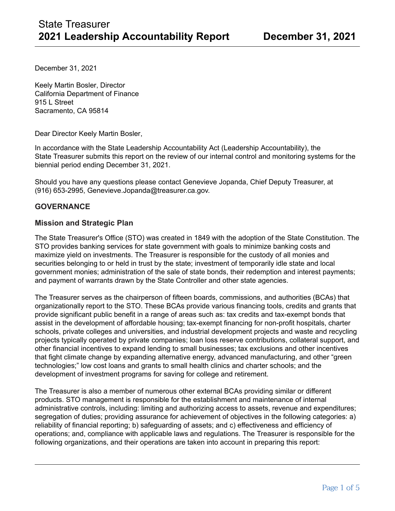December 31, 2021

Keely Martin Bosler, Director California Department of Finance 915 L Street Sacramento, CA 95814

Dear Director Keely Martin Bosler,

In accordance with the State Leadership Accountability Act (Leadership Accountability), the State Treasurer submits this report on the review of our internal control and monitoring systems for the biennial period ending December 31, 2021.

Should you have any questions please contact Genevieve Jopanda, Chief Deputy Treasurer, at (916) 653-2995, Genevieve.Jopanda@treasurer.ca.gov.

### **GOVERNANCE**

### **Mission and Strategic Plan**

The State Treasurer's Office (STO) was created in 1849 with the adoption of the State Constitution. The STO provides banking services for state government with goals to minimize banking costs and maximize yield on investments. The Treasurer is responsible for the custody of all monies and securities belonging to or held in trust by the state; investment of temporarily idle state and local government monies; administration of the sale of state bonds, their redemption and interest payments; and payment of warrants drawn by the State Controller and other state agencies.

The Treasurer serves as the chairperson of fifteen boards, commissions, and authorities (BCAs) that organizationally report to the STO. These BCAs provide various financing tools, credits and grants that provide significant public benefit in a range of areas such as: tax credits and tax-exempt bonds that assist in the development of affordable housing; tax-exempt financing for non-profit hospitals, charter schools, private colleges and universities, and industrial development projects and waste and recycling projects typically operated by private companies; loan loss reserve contributions, collateral support, and other financial incentives to expand lending to small businesses; tax exclusions and other incentives that fight climate change by expanding alternative energy, advanced manufacturing, and other "green technologies;" low cost loans and grants to small health clinics and charter schools; and the development of investment programs for saving for college and retirement.

The Treasurer is also a member of numerous other external BCAs providing similar or different products. STO management is responsible for the establishment and maintenance of internal administrative controls, including: limiting and authorizing access to assets, revenue and expenditures; segregation of duties; providing assurance for achievement of objectives in the following categories: a) reliability of financial reporting; b) safeguarding of assets; and c) effectiveness and efficiency of operations; and, compliance with applicable laws and regulations. The Treasurer is responsible for the following organizations, and their operations are taken into account in preparing this report: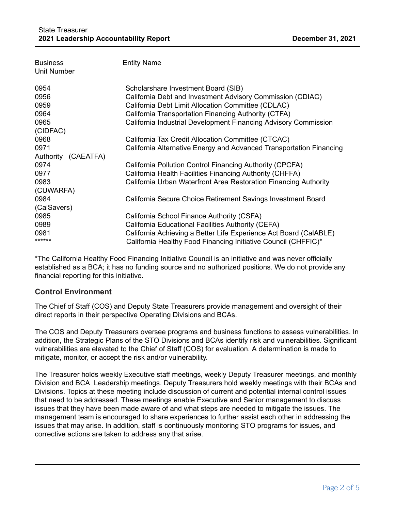| <b>Business</b><br><b>Unit Number</b> | <b>Entity Name</b>                                                  |
|---------------------------------------|---------------------------------------------------------------------|
| 0954                                  | Scholarshare Investment Board (SIB)                                 |
| 0956                                  | California Debt and Investment Advisory Commission (CDIAC)          |
| 0959                                  | California Debt Limit Allocation Committee (CDLAC)                  |
| 0964                                  | California Transportation Financing Authority (CTFA)                |
| 0965                                  | California Industrial Development Financing Advisory Commission     |
| (CIDFAC)                              |                                                                     |
| 0968                                  | California Tax Credit Allocation Committee (CTCAC)                  |
| 0971                                  | California Alternative Energy and Advanced Transportation Financing |
| Authority (CAEATFA)                   |                                                                     |
| 0974                                  | California Pollution Control Financing Authority (CPCFA)            |
| 0977                                  | California Health Facilities Financing Authority (CHFFA)            |
| 0983                                  | California Urban Waterfront Area Restoration Financing Authority    |
| (CUWARFA)                             |                                                                     |
| 0984                                  | California Secure Choice Retirement Savings Investment Board        |
| (CalSavers)                           |                                                                     |
| 0985                                  | California School Finance Authority (CSFA)                          |
| 0989                                  | California Educational Facilities Authority (CEFA)                  |
| 0981                                  | California Achieving a Better Life Experience Act Board (CalABLE)   |
| ******                                | California Healthy Food Financing Initiative Council (CHFFIC)*      |

\*The California Healthy Food Financing Initiative Council is an initiative and was never officially established as a BCA; it has no funding source and no authorized positions. We do not provide any financial reporting for this initiative.

# **Control Environment**

The Chief of Staff (COS) and Deputy State Treasurers provide management and oversight of their direct reports in their perspective Operating Divisions and BCAs.

The COS and Deputy Treasurers oversee programs and business functions to assess vulnerabilities. In addition, the Strategic Plans of the STO Divisions and BCAs identify risk and vulnerabilities. Significant vulnerabilities are elevated to the Chief of Staff (COS) for evaluation. A determination is made to mitigate, monitor, or accept the risk and/or vulnerability.

The Treasurer holds weekly Executive staff meetings, weekly Deputy Treasurer meetings, and monthly Division and BCA Leadership meetings. Deputy Treasurers hold weekly meetings with their BCAs and Divisions. Topics at these meeting include discussion of current and potential internal control issues that need to be addressed. These meetings enable Executive and Senior management to discuss issues that they have been made aware of and what steps are needed to mitigate the issues. The management team is encouraged to share experiences to further assist each other in addressing the issues that may arise. In addition, staff is continuously monitoring STO programs for issues, and corrective actions are taken to address any that arise.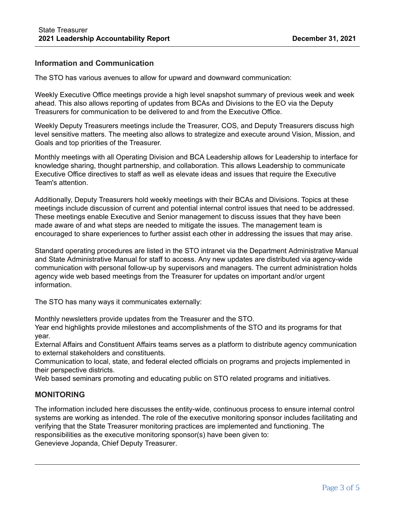### **Information and Communication**

The STO has various avenues to allow for upward and downward communication:

Weekly Executive Office meetings provide a high level snapshot summary of previous week and week ahead. This also allows reporting of updates from BCAs and Divisions to the EO via the Deputy Treasurers for communication to be delivered to and from the Executive Office.

Weekly Deputy Treasurers meetings include the Treasurer, COS, and Deputy Treasurers discuss high level sensitive matters. The meeting also allows to strategize and execute around Vision, Mission, and Goals and top priorities of the Treasurer.

Monthly meetings with all Operating Division and BCA Leadership allows for Leadership to interface for knowledge sharing, thought partnership, and collaboration. This allows Leadership to communicate Executive Office directives to staff as well as elevate ideas and issues that require the Executive Team's attention.

Additionally, Deputy Treasurers hold weekly meetings with their BCAs and Divisions. Topics at these meetings include discussion of current and potential internal control issues that need to be addressed. These meetings enable Executive and Senior management to discuss issues that they have been made aware of and what steps are needed to mitigate the issues. The management team is encouraged to share experiences to further assist each other in addressing the issues that may arise.

Standard operating procedures are listed in the STO intranet via the Department Administrative Manual and State Administrative Manual for staff to access. Any new updates are distributed via agency-wide communication with personal follow-up by supervisors and managers. The current administration holds agency wide web based meetings from the Treasurer for updates on important and/or urgent information.

The STO has many ways it communicates externally:

Monthly newsletters provide updates from the Treasurer and the STO.

Year end highlights provide milestones and accomplishments of the STO and its programs for that year.

External Affairs and Constituent Affairs teams serves as a platform to distribute agency communication to external stakeholders and constituents.

Communication to local, state, and federal elected officials on programs and projects implemented in their perspective districts.

Web based seminars promoting and educating public on STO related programs and initiatives.

#### **MONITORING**

The information included here discusses the entity-wide, continuous process to ensure internal control systems are working as intended. The role of the executive monitoring sponsor includes facilitating and verifying that the State Treasurer monitoring practices are implemented and functioning. The responsibilities as the executive monitoring sponsor(s) have been given to: Genevieve Jopanda, Chief Deputy Treasurer.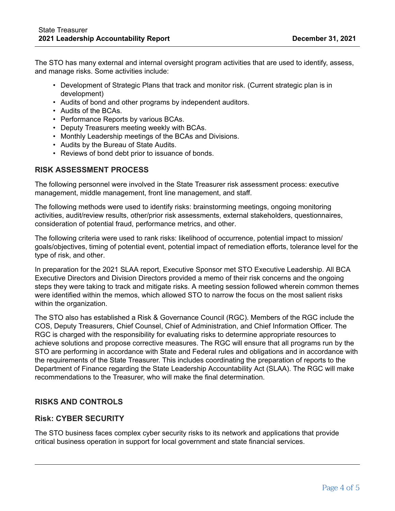The STO has many external and internal oversight program activities that are used to identify, assess, and manage risks. Some activities include:

- Development of Strategic Plans that track and monitor risk. (Current strategic plan is in development)
- Audits of bond and other programs by independent auditors.
- Audits of the BCAs.
- Performance Reports by various BCAs.
- Deputy Treasurers meeting weekly with BCAs.
- Monthly Leadership meetings of the BCAs and Divisions.
- Audits by the Bureau of State Audits.
- Reviews of bond debt prior to issuance of bonds.

# **RISK ASSESSMENT PROCESS**

The following personnel were involved in the State Treasurer risk assessment process: executive management, middle management, front line management, and staff.

The following methods were used to identify risks: brainstorming meetings, ongoing monitoring activities, audit/review results, other/prior risk assessments, external stakeholders, questionnaires, consideration of potential fraud, performance metrics, and other.

The following criteria were used to rank risks: likelihood of occurrence, potential impact to mission/ goals/objectives, timing of potential event, potential impact of remediation efforts, tolerance level for the type of risk, and other.

In preparation for the 2021 SLAA report, Executive Sponsor met STO Executive Leadership. All BCA Executive Directors and Division Directors provided a memo of their risk concerns and the ongoing steps they were taking to track and mitigate risks. A meeting session followed wherein common themes were identified within the memos, which allowed STO to narrow the focus on the most salient risks within the organization.

The STO also has established a Risk & Governance Council (RGC). Members of the RGC include the COS, Deputy Treasurers, Chief Counsel, Chief of Administration, and Chief Information Officer. The RGC is charged with the responsibility for evaluating risks to determine appropriate resources to achieve solutions and propose corrective measures. The RGC will ensure that all programs run by the STO are performing in accordance with State and Federal rules and obligations and in accordance with the requirements of the State Treasurer. This includes coordinating the preparation of reports to the Department of Finance regarding the State Leadership Accountability Act (SLAA). The RGC will make recommendations to the Treasurer, who will make the final determination.

# **RISKS AND CONTROLS**

#### **Risk: CYBER SECURITY**

The STO business faces complex cyber security risks to its network and applications that provide critical business operation in support for local government and state financial services.